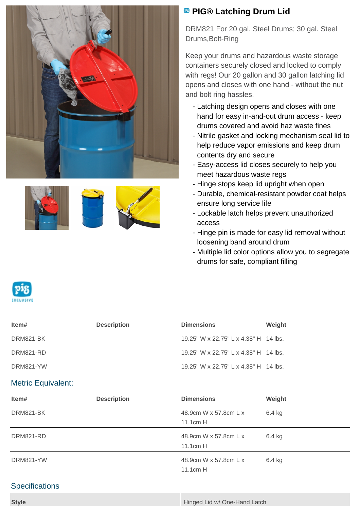



## **<sup><b>B</sup>** PIG® Latching Drum Lid</sup>

DRM821 For 20 gal. Steel Drums; 30 gal. Steel Drums,Bolt-Ring

Keep your drums and hazardous waste storage containers securely closed and locked to comply with regs! Our 20 gallon and 30 gallon latching lid opens and closes with one hand - without the nut and bolt ring hassles.

- Latching design opens and closes with one hand for easy in-and-out drum access - keep drums covered and avoid haz waste fines
- Nitrile gasket and locking mechanism seal lid to help reduce vapor emissions and keep drum contents dry and secure
- Easy-access lid closes securely to help you meet hazardous waste regs
- Hinge stops keep lid upright when open
- Durable, chemical-resistant powder coat helps ensure long service life
- Lockable latch helps prevent unauthorized access
- Hinge pin is made for easy lid removal without loosening band around drum
- Multiple lid color options allow you to segregate drums for safe, compliant filling



| ltem#     | <b>Description</b> | <b>Dimensions</b>                     | Weight |
|-----------|--------------------|---------------------------------------|--------|
| DRM821-BK |                    | 19.25" W x 22.75" L x 4.38" H 14 lbs. |        |
| DRM821-RD |                    | 19.25" W x 22.75" L x 4.38" H 14 lbs. |        |
| DRM821-YW |                    | 19.25" W x 22.75" L x 4.38" H 14 lbs. |        |

## Metric Equivalent:

| Item#     | <b>Description</b> | <b>Dimensions</b>     | Weight   |  |
|-----------|--------------------|-----------------------|----------|--|
| DRM821-BK |                    | 48.9cm W x 57.8cm L x | $6.4$ kg |  |
|           |                    | $11.1cm$ H            |          |  |
| DRM821-RD |                    | 48.9cm W x 57.8cm L x | 6.4 kg   |  |
|           |                    | 11.1cm H              |          |  |
| DRM821-YW |                    | 48.9cm W x 57.8cm L x | 6.4 kg   |  |
|           |                    | 11.1cm H              |          |  |

## **Specifications**

| <b>Style</b> | Hinged Lid w/ One-Hand Latch |
|--------------|------------------------------|
|              |                              |